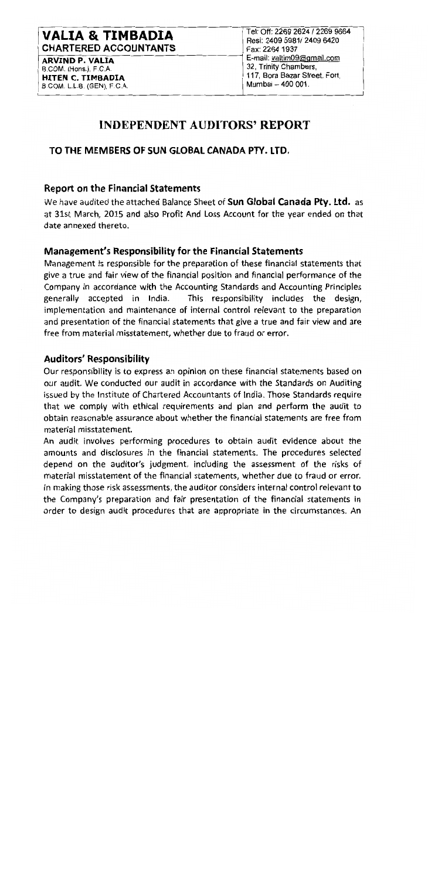# **VALIA & TIMBADIA CHARTERED ACCOUNTANTS**

**ARVIND P. VALIA** B.COM. (Hons.), F.C.A. **HITEN C. TIMBADIA** B.COM, L.L.B. (GEN), F.C.A.

Tel: Off: 2269 2624 / 2269 9664 Resi: 2409 5981/2409 6420 Fax: 2264 1937 E-mail: valtim09@gmail.com 32. Trinity Chambers. 117, Bora Bazar Street, Fort, Mumbai - 400 001.

# **INDEPENDENT AUDITORS' REPORT**

## TO THE MEMBERS OF SUN GLOBAL CANADA PTY. LTD.

### **Report on the Financial Statements**

We have audited the attached Balance Sheet of Sun Global Canada Pty. Ltd. as at 31st March, 2015 and also Profit And Loss Account for the year ended on that date annexed thereto.

## **Management's Responsibility for the Financial Statements**

Management is responsible for the preparation of these financial statements that give a true and fair view of the financial position and financial performance of the Company in accordance with the Accounting Standards and Accounting Principles generally accepted in India. This responsibility includes the design, implementation and maintenance of internal control relevant to the preparation and presentation of the financial statements that give a true and fair view and are free from material misstatement, whether due to fraud or error.

### **Auditors' Responsibility**

Our responsibility is to express an opinion on these financial statements based on our audit. We conducted our audit in accordance with the Standards on Auditing issued by the Institute of Chartered Accountants of India. Those Standards require that we comply with ethical requirements and plan and perform the audit to obtain reasonable assurance about whether the financial statements are free from material misstatement.

An audit involves performing procedures to obtain audit evidence about the amounts and disclosures in the financial statements. The procedures selected depend on the auditor's judgment, including the assessment of the risks of material misstatement of the financial statements, whether due to fraud or error. In making those risk assessments, the auditor considers internal control relevant to the Company's preparation and fair presentation of the financial statements in order to design audit procedures that are appropriate in the circumstances. An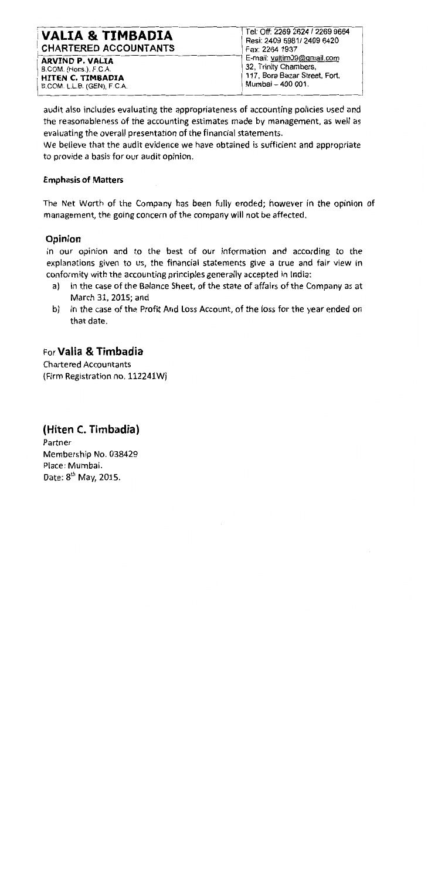# **VALIA & TIMBADIA CHARTERED ACCOUNTANTS**

**ARVIND P. VALIA** B.COM. (Hons.), F.C.A. **HITEN C. TIMBADIA** B.COM. L.L.B. (GEN), F.C.A.

Tel: Off: 2269 2624 / 2269 9664 Resi: 2409 5981/2409 6420 Fax: 2264 1937 E-mail: valtim09@gmail.com 32. Trinity Chambers. 117, Bora Bazar Street, Fort, Mumbai - 400 001.

audit also includes evaluating the appropriateness of accounting policies used and the reasonableness of the accounting estimates made by management, as well as evaluating the overall presentation of the financial statements.

We believe that the audit evidence we have obtained is sufficient and appropriate to provide a basis for our audit opinion.

## **Emphasis of Matters**

The Net Worth of the Company has been fully eroded: however in the opinion of management, the going concern of the company will not be affected.

## Opinion

In our opinion and to the best of our information and according to the explanations given to us, the financial statements give a true and fair view in conformity with the accounting principles generally accepted in India:

- in the case of the Balance Sheet, of the state of affairs of the Company as at a) March 31, 2015; and
- in the case of the Profit And Loss Account, of the loss for the year ended on b) that date.

# For Valia & Timbadia

**Chartered Accountants** (Firm Registration no. 112241W)

# (Hiten C. Timbadia)

Partner Membership No. 038429 Place: Mumbai. Date: 8<sup>th</sup> May, 2015.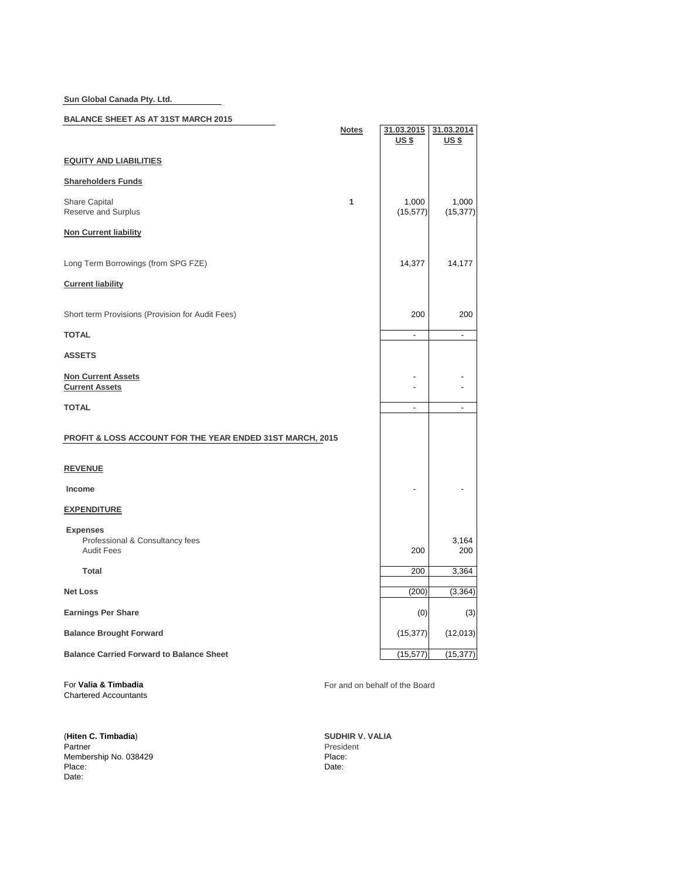**Sun Global Canada Pty. Ltd.**

### **BALANCE SHEET AS AT 31ST MARCH 2015**

| <b>PALANUL UNLER AU AT UTU MARULEUR</b>                                 | <b>Notes</b> | 31.03.2015<br><u>US \$</u> | 31.03.2014<br><u>US \$</u> |
|-------------------------------------------------------------------------|--------------|----------------------------|----------------------------|
| <b>EQUITY AND LIABILITIES</b>                                           |              |                            |                            |
| <b>Shareholders Funds</b>                                               |              |                            |                            |
| <b>Share Capital</b><br>Reserve and Surplus                             | 1            | 1,000<br>(15, 577)         | 1,000<br>(15, 377)         |
| <b>Non Current liability</b>                                            |              |                            |                            |
| Long Term Borrowings (from SPG FZE)                                     |              | 14,377                     | 14,177                     |
| <b>Current liability</b>                                                |              |                            |                            |
| Short term Provisions (Provision for Audit Fees)                        |              | 200                        | 200                        |
| <b>TOTAL</b>                                                            |              | $\blacksquare$             | ÷,                         |
| <b>ASSETS</b>                                                           |              |                            |                            |
| <b>Non Current Assets</b><br><b>Current Assets</b>                      |              | $\overline{a}$             |                            |
| <b>TOTAL</b>                                                            |              | $\overline{a}$             | $\overline{a}$             |
| <b>PROFIT &amp; LOSS ACCOUNT FOR THE YEAR ENDED 31ST MARCH, 2015</b>    |              |                            |                            |
| <b>REVENUE</b>                                                          |              |                            |                            |
| Income                                                                  |              |                            |                            |
| <b>EXPENDITURE</b>                                                      |              |                            |                            |
| <b>Expenses</b><br>Professional & Consultancy fees<br><b>Audit Fees</b> |              | 200                        | 3,164<br>200               |
| <b>Total</b>                                                            |              | 200                        | 3,364                      |
| <b>Net Loss</b>                                                         |              | (200)                      | (3, 364)                   |
| <b>Earnings Per Share</b>                                               |              | (0)                        | (3)                        |
| <b>Balance Brought Forward</b>                                          |              | (15, 377)                  | (12,013)                   |
| <b>Balance Carried Forward to Balance Sheet</b>                         |              | (15, 577)                  | (15, 377)                  |

 $\overline{\phantom{0}}$ 

Chartered Accountants

(**Hiten C. Timbadia**) **SUDHIR V. VALIA** Partner Partner President Membership No. 038429 Place: Place: Place: Place: Place: Place: Date: Date: Date: Date: Date: Date: Date: Date: Date: Date: Date: Date: Date: Date: Date: Date: Date: Date: Date: Date: Date: Date: Date: Date: Date: Date: Date: Date: Date: Date: Date: Date: Date: Date: Date: Date: Date:

For **Valia & Timbadia** For and on behalf of the Board